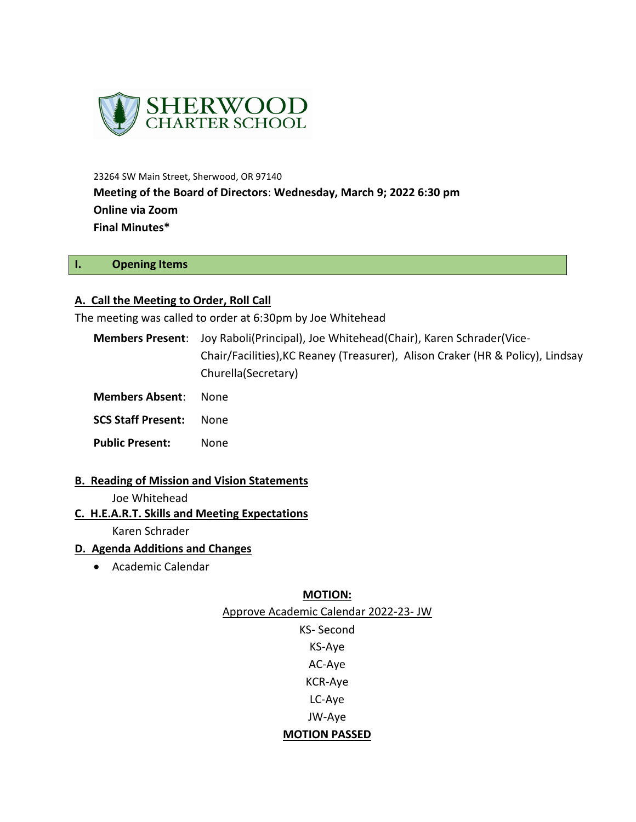

23264 SW Main Street, Sherwood, OR 97140 **Meeting of the Board of Directors**: **Wednesday, March 9; 2022 6:30 pm Online via Zoom Final Minutes\***

### **I. Opening Items**

#### **A. Call the Meeting to Order, Roll Call**

The meeting was called to order at 6:30pm by Joe Whitehead

- **Members Present**: Joy Raboli(Principal), Joe Whitehead(Chair), Karen Schrader(Vice-Chair/Facilities),KC Reaney (Treasurer), Alison Craker (HR & Policy), Lindsay Churella(Secretary)
- **Members Absent**: None

**SCS Staff Present:** None

- **Public Present:** None
- **B. Reading of Mission and Vision Statements**

#### Joe Whitehead

**C. H.E.A.R.T. Skills and Meeting Expectations**

Karen Schrader

#### **D. Agenda Additions and Changes**

Academic Calendar

#### **MOTION:**

Approve Academic Calendar 2022-23- JW

KS- Second KS-Aye AC-Aye KCR-Aye LC-Aye JW-Aye **MOTION PASSED**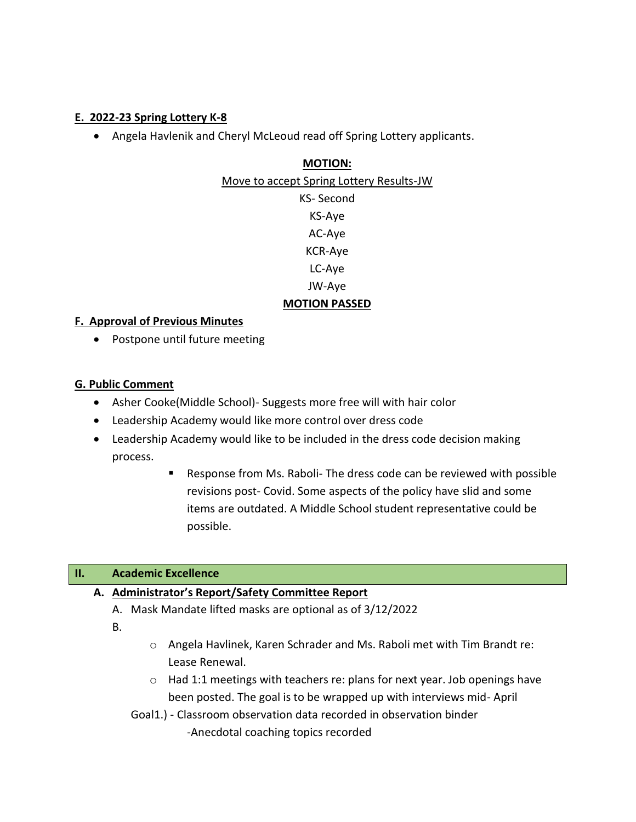# **E. 2022-23 Spring Lottery K-8**

Angela Havlenik and Cheryl McLeoud read off Spring Lottery applicants.

# **MOTION:**

Move to accept Spring Lottery Results-JW KS- Second KS-Aye AC-Aye KCR-Aye LC-Aye JW-Aye **MOTION PASSED**

# **F. Approval of Previous Minutes**

• Postpone until future meeting

# **G. Public Comment**

- Asher Cooke(Middle School)- Suggests more free will with hair color
- Leadership Academy would like more control over dress code
- Leadership Academy would like to be included in the dress code decision making process.
	- Response from Ms. Raboli- The dress code can be reviewed with possible revisions post- Covid. Some aspects of the policy have slid and some items are outdated. A Middle School student representative could be possible.

# **II. Academic Excellence**

# **A. Administrator's Report/Safety Committee Report**

- A. Mask Mandate lifted masks are optional as of 3/12/2022
- B.
- o Angela Havlinek, Karen Schrader and Ms. Raboli met with Tim Brandt re: Lease Renewal.
- o Had 1:1 meetings with teachers re: plans for next year. Job openings have been posted. The goal is to be wrapped up with interviews mid- April
- Goal1.) Classroom observation data recorded in observation binder

-Anecdotal coaching topics recorded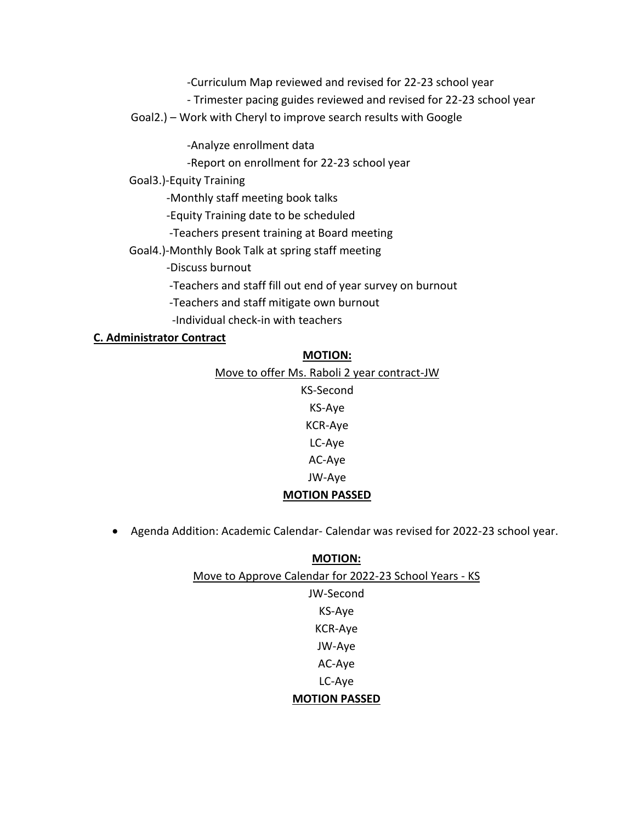-Curriculum Map reviewed and revised for 22-23 school year

- Trimester pacing guides reviewed and revised for 22-23 school year

Goal2.) – Work with Cheryl to improve search results with Google

-Analyze enrollment data

-Report on enrollment for 22-23 school year

Goal3.)-Equity Training

-Monthly staff meeting book talks

-Equity Training date to be scheduled

-Teachers present training at Board meeting

Goal4.)-Monthly Book Talk at spring staff meeting

-Discuss burnout

-Teachers and staff fill out end of year survey on burnout

-Teachers and staff mitigate own burnout

-Individual check-in with teachers

### **C. Administrator Contract**

| <b>IVIUTION:</b>                            |
|---------------------------------------------|
| Move to offer Ms. Raboli 2 year contract-JW |
| KS-Second                                   |
| KS-Aye                                      |
| <b>KCR-Aye</b>                              |
| LC-Aye                                      |
| AC-Aye                                      |
| JW-Aye                                      |
| <b>MOTION PASSED</b>                        |
|                                             |

**MOTION:**

Agenda Addition: Academic Calendar- Calendar was revised for 2022-23 school year.

| <b>MOTION:</b>                                         |
|--------------------------------------------------------|
| Move to Approve Calendar for 2022-23 School Years - KS |
| JW-Second                                              |
| KS-Aye                                                 |
| <b>KCR-Aye</b>                                         |
| JW-Aye                                                 |
| AC-Aye                                                 |
| LC-Aye                                                 |
| <b>MOTION PASSED</b>                                   |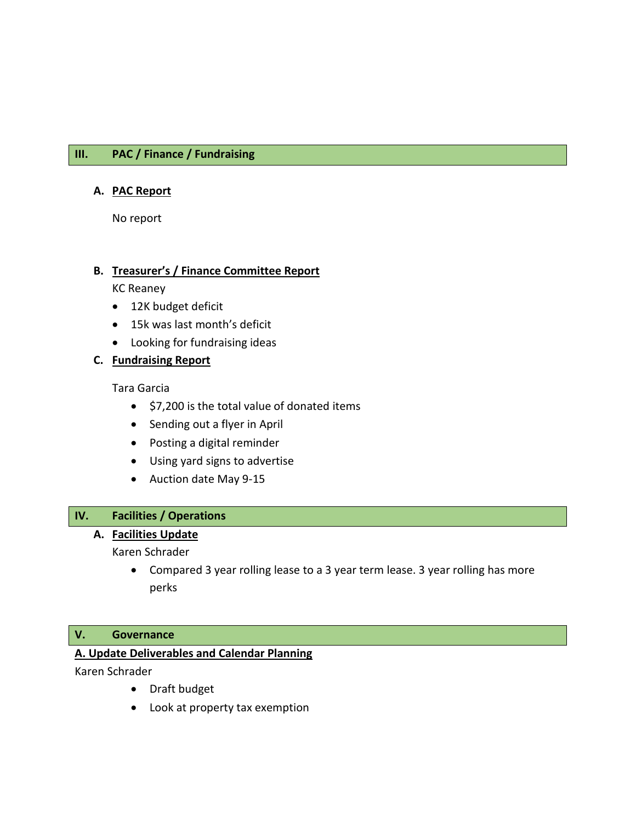# **III. PAC / Finance / Fundraising**

#### **A. PAC Report**

No report

#### **B. Treasurer's / Finance Committee Report**

KC Reaney

- 12K budget deficit
- 15k was last month's deficit
- Looking for fundraising ideas

### **C. Fundraising Report**

Tara Garcia

- $\bullet$  \$7,200 is the total value of donated items
- Sending out a flyer in April
- Posting a digital reminder
- Using yard signs to advertise
- Auction date May 9-15

# **IV. Facilities / Operations**

#### **A. Facilities Update**

Karen Schrader

 Compared 3 year rolling lease to a 3 year term lease. 3 year rolling has more perks

### **V. Governance**

# **A. Update Deliverables and Calendar Planning**

Karen Schrader

- Draft budget
- Look at property tax exemption